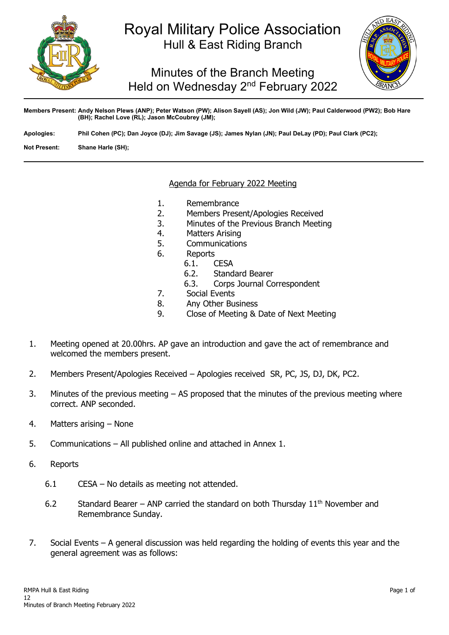

## Royal Military Police Association Hull & East Riding Branch

Minutes of the Branch Meeting Held on Wednesday 2<sup>nd</sup> February 2022



**Members Present: Andy Nelson Plews (ANP); Peter Watson (PW); Alison Sayell (AS); Jon Wild (JW); Paul Calderwood (PW2); Bob Hare (BH); Rachel Love (RL); Jason McCoubrey (JM);**

**Apologies: Phil Cohen (PC); Dan Joyce (DJ); Jim Savage (JS); James Nylan (JN); Paul DeLay (PD); Paul Clark (PC2);**

**Not Present: Shane Harle (SH);**

### Agenda for February 2022 Meeting

- 1. Remembrance<br>2. Members Prese
- 2. Members Present/Apologies Received
- 3. Minutes of the Previous Branch Meeting
- 4. Matters Arising<br>5. Communication
- **Communications**
- 6. Reports
	- 6.1. **CESA**<br>6.2. Stand
	- 6.2. Standard Bearer<br>6.3. Corps Journal Co
	- Corps Journal Correspondent
- 7. Social Events<br>8. Any Other Bu
- 8. Any Other Business
- 9. Close of Meeting & Date of Next Meeting
- 1. Meeting opened at 20.00hrs. AP gave an introduction and gave the act of remembrance and welcomed the members present.
- 2. Members Present/Apologies Received Apologies received SR, PC, JS, DJ, DK, PC2.
- 3. Minutes of the previous meeting AS proposed that the minutes of the previous meeting where correct. ANP seconded.
- 4. Matters arising None
- 5. Communications All published online and attached in Annex 1.
- 6. Reports
	- 6.1 CESA No details as meeting not attended.
	- 6.2 Standard Bearer ANP carried the standard on both Thursday  $11<sup>th</sup>$  November and Remembrance Sunday.
- 7. Social Events A general discussion was held regarding the holding of events this year and the general agreement was as follows: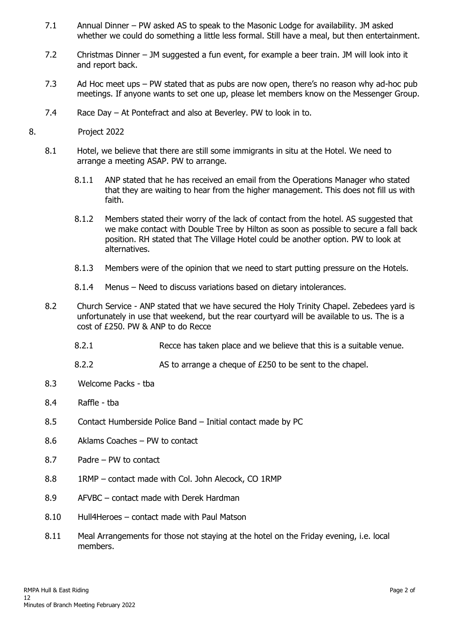- 7.1 Annual Dinner PW asked AS to speak to the Masonic Lodge for availability. JM asked whether we could do something a little less formal. Still have a meal, but then entertainment.
- 7.2 Christmas Dinner JM suggested a fun event, for example a beer train. JM will look into it and report back.
- 7.3 Ad Hoc meet ups PW stated that as pubs are now open, there's no reason why ad-hoc pub meetings. If anyone wants to set one up, please let members know on the Messenger Group.
- 7.4 Race Day At Pontefract and also at Beverley. PW to look in to.
- 8. Project 2022
	- 8.1 Hotel, we believe that there are still some immigrants in situ at the Hotel. We need to arrange a meeting ASAP. PW to arrange.
		- 8.1.1 ANP stated that he has received an email from the Operations Manager who stated that they are waiting to hear from the higher management. This does not fill us with faith.
		- 8.1.2 Members stated their worry of the lack of contact from the hotel. AS suggested that we make contact with Double Tree by Hilton as soon as possible to secure a fall back position. RH stated that The Village Hotel could be another option. PW to look at alternatives.
		- 8.1.3 Members were of the opinion that we need to start putting pressure on the Hotels.
		- 8.1.4 Menus Need to discuss variations based on dietary intolerances.
	- 8.2 Church Service ANP stated that we have secured the Holy Trinity Chapel. Zebedees yard is unfortunately in use that weekend, but the rear courtyard will be available to us. The is a cost of £250. PW & ANP to do Recce
		- 8.2.1 Recce has taken place and we believe that this is a suitable venue.
		- 8.2.2 AS to arrange a cheque of £250 to be sent to the chapel.
	- 8.3 Welcome Packs tba
	- 8.4 Raffle tba
	- 8.5 Contact Humberside Police Band Initial contact made by PC
	- 8.6 Aklams Coaches PW to contact
	- 8.7 Padre PW to contact
	- 8.8 1RMP contact made with Col. John Alecock, CO 1RMP
	- 8.9 AFVBC contact made with Derek Hardman
	- 8.10 Hull4Heroes contact made with Paul Matson
	- 8.11 Meal Arrangements for those not staying at the hotel on the Friday evening, i.e. local members.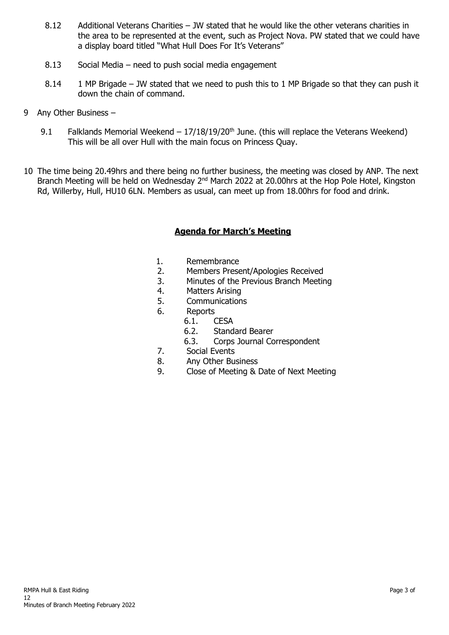- 8.12 Additional Veterans Charities JW stated that he would like the other veterans charities in the area to be represented at the event, such as Project Nova. PW stated that we could have a display board titled "What Hull Does For It's Veterans"
- 8.13 Social Media need to push social media engagement
- 8.14 1 MP Brigade JW stated that we need to push this to 1 MP Brigade so that they can push it down the chain of command.
- 9 Any Other Business
	- 9.1 Falklands Memorial Weekend  $17/18/19/20^{th}$  June. (this will replace the Veterans Weekend) This will be all over Hull with the main focus on Princess Quay.
- 10 The time being 20.49hrs and there being no further business, the meeting was closed by ANP. The next Branch Meeting will be held on Wednesday 2<sup>nd</sup> March 2022 at 20.00hrs at the Hop Pole Hotel, Kingston Rd, Willerby, Hull, HU10 6LN. Members as usual, can meet up from 18.00hrs for food and drink.

### **Agenda for March's Meeting**

- 1. Remembrance<br>2. Members Prese
- 2. Members Present/Apologies Received
- 3. Minutes of the Previous Branch Meeting<br>4. Matters Arising
- 4. Matters Arising<br>5. Communication
- **Communications**
- 6. Reports<br>6.1. (
	- 6.1. **CESA**<br>6.2. Stand
	- Standard Bearer
	- 6.3. Corps Journal Correspondent
- 7. Social Events
- 8. Any Other Business<br>9. Close of Meeting & I
- 9. Close of Meeting & Date of Next Meeting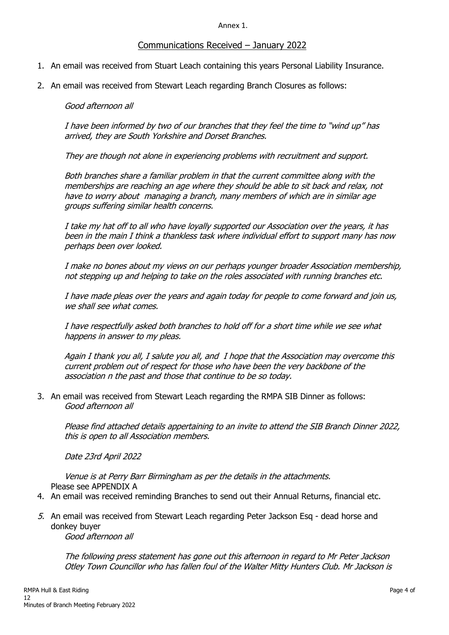Annex 1.

### Communications Received – January 2022

- 1. An email was received from Stuart Leach containing this years Personal Liability Insurance.
- 2. An email was received from Stewart Leach regarding Branch Closures as follows:

#### Good afternoon all

I have been informed by two of our branches that they feel the time to "wind up" has arrived, they are South Yorkshire and Dorset Branches.

They are though not alone in experiencing problems with recruitment and support.

Both branches share a familiar problem in that the current committee along with the memberships are reaching an age where they should be able to sit back and relax, not have to worry about managing a branch, many members of which are in similar age groups suffering similar health concerns.

I take my hat off to all who have loyally supported our Association over the years, it has been in the main I think a thankless task where individual effort to support many has now perhaps been over looked.

I make no bones about my views on our perhaps younger broader Association membership, not stepping up and helping to take on the roles associated with running branches etc.

I have made pleas over the years and again today for people to come forward and join us, we shall see what comes.

I have respectfully asked both branches to hold off for a short time while we see what happens in answer to my pleas.

Again I thank you all, I salute you all, and I hope that the Association may overcome this current problem out of respect for those who have been the very backbone of the association n the past and those that continue to be so today.

3. An email was received from Stewart Leach regarding the RMPA SIB Dinner as follows: Good afternoon all

Please find attached details appertaining to an invite to attend the SIB Branch Dinner 2022, this is open to all Association members.

Date 23rd April 2022

Venue is at Perry Barr Birmingham as per the details in the attachments. Please see APPENDIX A

- 4. An email was received reminding Branches to send out their Annual Returns, financial etc.
- 5. An email was received from Stewart Leach regarding Peter Jackson Esq dead horse and donkey buyer Good afternoon all

The following press statement has gone out this afternoon in regard to Mr Peter Jackson Otley Town Councillor who has fallen foul of the Walter Mitty Hunters Club. Mr Jackson is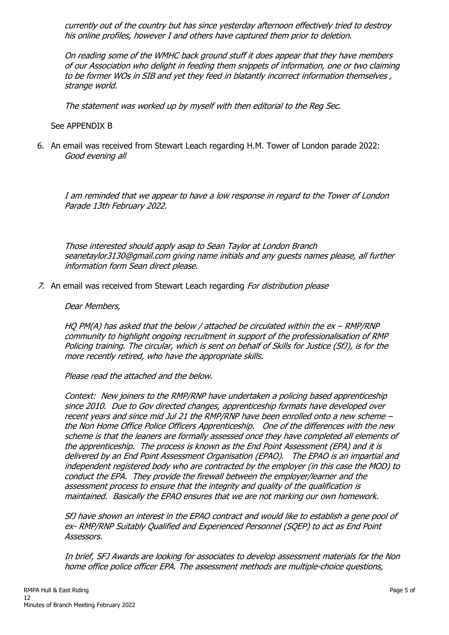currently out of the country but has since yesterday afternoon effectively tried to destroy his online profiles, however I and others have captured them prior to deletion.

On reading some of the WMHC back ground stuff it does appear that they have members of our Association who delight in feeding them snippets of information, one or two claiming to be former WOs in SIB and yet they feed in blatantly incorrect information themselves , strange world.

The statement was worked up by myself with then editorial to the Reg Sec.

See APPENDIX B

6. An email was received from Stewart Leach regarding H.M. Tower of London parade 2022: Good evening all

I am reminded that we appear to have a low response in regard to the Tower of London Parade 13th February 2022.

Those interested should apply asap to Sean Taylor at London Branch seanetaylor3130@gmail.com giving name initials and any guests names please, all further information form Sean direct please.

7. An email was received from Stewart Leach regarding For distribution please

#### Dear Members,

HQ PM(A) has asked that the below / attached be circulated within the  $ex$  – RMP/RNP community to highlight ongoing recruitment in support of the professionalisation of RMP Policing training. The circular, which is sent on behalf of Skills for Justice (SfJ), is for the more recently retired, who have the appropriate skills.

Please read the attached and the below.

Context: New joiners to the RMP/RNP have undertaken a policing based apprenticeship since 2010. Due to Gov directed changes, apprenticeship formats have developed over recent years and since mid Jul 21 the RMP/RNP have been enrolled onto a new scheme – the Non Home Office Police Officers Apprenticeship. One of the differences with the new scheme is that the leaners are formally assessed once they have completed all elements of the apprenticeship. The process is known as the End Point Assessment (EPA) and it is delivered by an End Point Assessment Organisation (EPAO). The EPAO is an impartial and independent registered body who are contracted by the employer (in this case the MOD) to conduct the EPA. They provide the firewall between the employer/learner and the assessment process to ensure that the integrity and quality of the qualification is maintained. Basically the EPAO ensures that we are not marking our own homework.

SfJ have shown an interest in the EPAO contract and would like to establish a gene pool of ex- RMP/RNP Suitably Qualified and Experienced Personnel (SQEP) to act as End Point Assessors.

In brief, SFJ Awards are looking for associates to develop assessment materials for the Non home office police officer EPA. The assessment methods are multiple-choice questions,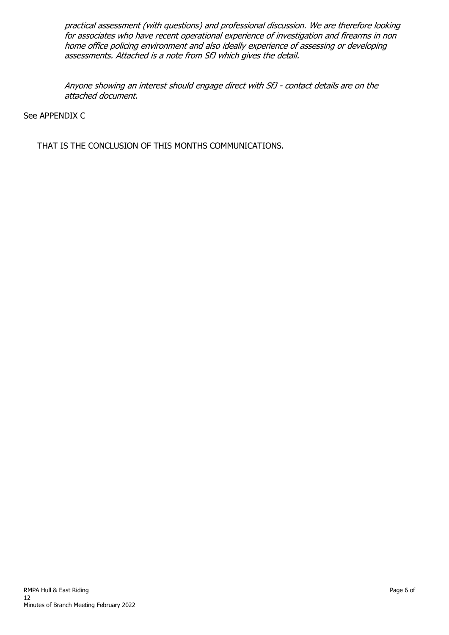practical assessment (with questions) and professional discussion. We are therefore looking for associates who have recent operational experience of investigation and firearms in non home office policing environment and also ideally experience of assessing or developing assessments. Attached is a note from SfJ which gives the detail.

Anyone showing an interest should engage direct with SfJ - contact details are on the attached document.

### See APPENDIX C

THAT IS THE CONCLUSION OF THIS MONTHS COMMUNICATIONS.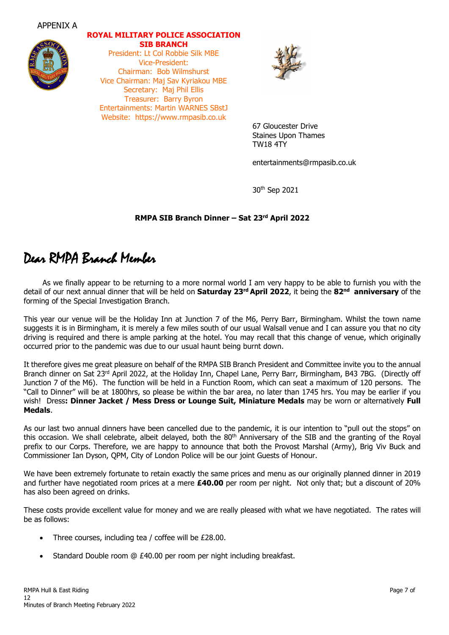



### **ROYAL MILITARY POLICE ASSOCIATION SIB BRANCH** President: Lt Col Robbie Silk MBE

Vice-President: Chairman: Bob Wilmshurst Vice Chairman: Maj Sav Kyriakou MBE Secretary: Maj Phil Ellis Treasurer: Barry Byron Entertainments: Martin WARNES SBstJ Website: https://www.rmpasib.co.uk



67 Gloucester Drive Staines Upon Thames TW18 4TY

entertainments@rmpasib.co.uk

30th Sep 2021

### **RMPA SIB Branch Dinner – Sat 23rd April 2022**

# Dear RMPA Branch Member

 As we finally appear to be returning to a more normal world I am very happy to be able to furnish you with the detail of our next annual dinner that will be held on **Saturday 23rd April 2022**, it being the **82nd anniversary** of the forming of the Special Investigation Branch.

This year our venue will be the Holiday Inn at Junction 7 of the M6, Perry Barr, Birmingham. Whilst the town name suggests it is in Birmingham, it is merely a few miles south of our usual Walsall venue and I can assure you that no city driving is required and there is ample parking at the hotel. You may recall that this change of venue, which originally occurred prior to the pandemic was due to our usual haunt being burnt down.

It therefore gives me great pleasure on behalf of the RMPA SIB Branch President and Committee invite you to the annual Branch dinner on Sat 23rd April 2022, at the Holiday Inn, Chapel Lane, Perry Barr, Birmingham, B43 7BG. (Directly off Junction 7 of the M6). The function will be held in a Function Room, which can seat a maximum of 120 persons. The "Call to Dinner" will be at 1800hrs, so please be within the bar area, no later than 1745 hrs. You may be earlier if you wish! Dress**: Dinner Jacket / Mess Dress or Lounge Suit, Miniature Medals** may be worn or alternatively **Full Medals**.

As our last two annual dinners have been cancelled due to the pandemic, it is our intention to "pull out the stops" on this occasion. We shall celebrate, albeit delayed, both the  $80<sup>th</sup>$  Anniversary of the SIB and the granting of the Royal prefix to our Corps. Therefore, we are happy to announce that both the Provost Marshal (Army), Brig Viv Buck and Commissioner Ian Dyson, QPM, City of London Police will be our joint Guests of Honour.

We have been extremely fortunate to retain exactly the same prices and menu as our originally planned dinner in 2019 and further have negotiated room prices at a mere **£40.00** per room per night. Not only that; but a discount of 20% has also been agreed on drinks.

These costs provide excellent value for money and we are really pleased with what we have negotiated. The rates will be as follows:

- Three courses, including tea / coffee will be £28.00.
- Standard Double room @ £40.00 per room per night including breakfast.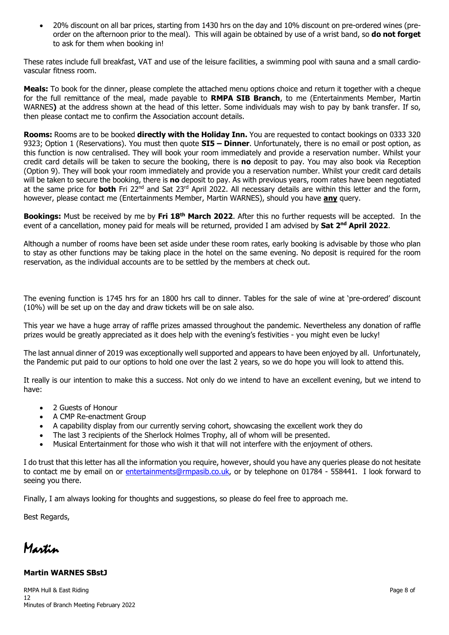• 20% discount on all bar prices, starting from 1430 hrs on the day and 10% discount on pre-ordered wines (preorder on the afternoon prior to the meal). This will again be obtained by use of a wrist band, so **do not forget** to ask for them when booking in!

These rates include full breakfast, VAT and use of the leisure facilities, a swimming pool with sauna and a small cardiovascular fitness room.

**Meals:** To book for the dinner, please complete the attached menu options choice and return it together with a cheque for the full remittance of the meal, made payable to **RMPA SIB Branch**, to me (Entertainments Member, Martin WARNES**)** at the address shown at the head of this letter. Some individuals may wish to pay by bank transfer. If so, then please contact me to confirm the Association account details.

**Rooms:** Rooms are to be booked **directly with the Holiday Inn.** You are requested to contact bookings on 0333 320 9323; Option 1 (Reservations). You must then quote **SI5 – Dinner**. Unfortunately, there is no email or post option, as this function is now centralised. They will book your room immediately and provide a reservation number. Whilst your credit card details will be taken to secure the booking, there is **no** deposit to pay. You may also book via Reception (Option 9). They will book your room immediately and provide you a reservation number. Whilst your credit card details will be taken to secure the booking, there is **no** deposit to pay. As with previous years, room rates have been negotiated at the same price for **both** Fri 22<sup>nd</sup> and Sat 23<sup>rd</sup> April 2022. All necessary details are within this letter and the form, however, please contact me (Entertainments Member, Martin WARNES), should you have **any** query.

**Bookings:** Must be received by me by **Fri 18th March 2022**. After this no further requests will be accepted. In the event of a cancellation, money paid for meals will be returned, provided I am advised by **Sat 2<sup>nd</sup> April 2022**.

Although a number of rooms have been set aside under these room rates, early booking is advisable by those who plan to stay as other functions may be taking place in the hotel on the same evening. No deposit is required for the room reservation, as the individual accounts are to be settled by the members at check out.

The evening function is 1745 hrs for an 1800 hrs call to dinner. Tables for the sale of wine at 'pre-ordered' discount (10%) will be set up on the day and draw tickets will be on sale also.

This year we have a huge array of raffle prizes amassed throughout the pandemic. Nevertheless any donation of raffle prizes would be greatly appreciated as it does help with the evening's festivities - you might even be lucky!

The last annual dinner of 2019 was exceptionally well supported and appears to have been enjoyed by all. Unfortunately, the Pandemic put paid to our options to hold one over the last 2 years, so we do hope you will look to attend this.

It really is our intention to make this a success. Not only do we intend to have an excellent evening, but we intend to have:

- 2 Guests of Honour
- A CMP Re-enactment Group
- A capability display from our currently serving cohort, showcasing the excellent work they do
- The last 3 recipients of the Sherlock Holmes Trophy, all of whom will be presented.
- Musical Entertainment for those who wish it that will not interfere with the enjoyment of others.

I do trust that this letter has all the information you require, however, should you have any queries please do not hesitate to contact me by email on or [entertainments@rmpasib.co.uk,](mailto:entertainments@rmpasib.co.uk) or by telephone on 01784 - 558441. I look forward to seeing you there.

Finally, I am always looking for thoughts and suggestions, so please do feel free to approach me.

Best Regards,

Martin

### **Martin WARNES SBstJ**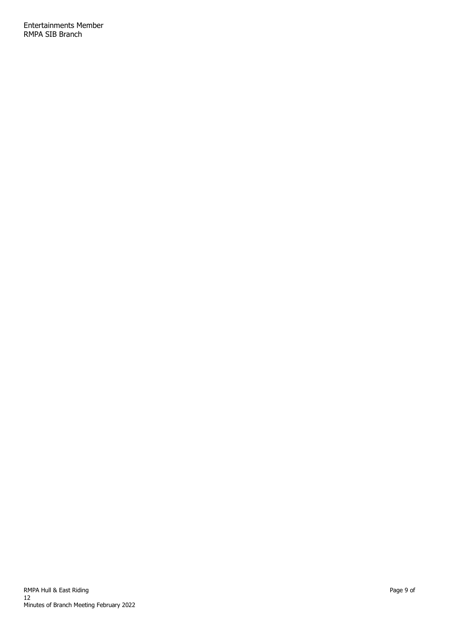Entertainments Member RMPA SIB Branch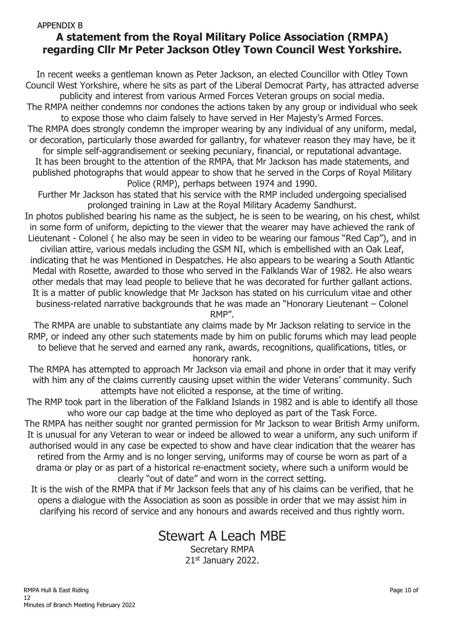### APPENDIX B **A statement from the Royal Military Police Association (RMPA) regarding Cllr Mr Peter Jackson Otley Town Council West Yorkshire.**

In recent weeks a gentleman known as Peter Jackson, an elected Councillor with Otley Town Council West Yorkshire, where he sits as part of the Liberal Democrat Party, has attracted adverse publicity and interest from various Armed Forces Veteran groups on social media.

The RMPA neither condemns nor condones the actions taken by any group or individual who seek to expose those who claim falsely to have served in Her Majesty's Armed Forces.

The RMPA does strongly condemn the improper wearing by any individual of any uniform, medal, or decoration, particularly those awarded for gallantry, for whatever reason they may have, be it

for simple self-aggrandisement or seeking pecuniary, financial, or reputational advantage. It has been brought to the attention of the RMPA, that Mr Jackson has made statements, and published photographs that would appear to show that he served in the Corps of Royal Military Police (RMP), perhaps between 1974 and 1990.

Further Mr Jackson has stated that his service with the RMP included undergoing specialised prolonged training in Law at the Royal Military Academy Sandhurst.

In photos published bearing his name as the subject, he is seen to be wearing, on his chest, whilst in some form of uniform, depicting to the viewer that the wearer may have achieved the rank of Lieutenant - Colonel ( he also may be seen in video to be wearing our famous "Red Cap"), and in

civilian attire, various medals including the GSM NI, which is embellished with an Oak Leaf, indicating that he was Mentioned in Despatches. He also appears to be wearing a South Atlantic Medal with Rosette, awarded to those who served in the Falklands War of 1982. He also wears other medals that may lead people to believe that he was decorated for further gallant actions. It is a matter of public knowledge that Mr Jackson has stated on his curriculum vitae and other business-related narrative backgrounds that he was made an "Honorary Lieutenant – Colonel

RMP".

The RMPA are unable to substantiate any claims made by Mr Jackson relating to service in the RMP, or indeed any other such statements made by him on public forums which may lead people to believe that he served and earned any rank, awards, recognitions, qualifications, titles, or honorary rank.

The RMPA has attempted to approach Mr Jackson via email and phone in order that it may verify with him any of the claims currently causing upset within the wider Veterans' community. Such attempts have not elicited a response, at the time of writing.

The RMP took part in the liberation of the Falkland Islands in 1982 and is able to identify all those who wore our cap badge at the time who deployed as part of the Task Force.

The RMPA has neither sought nor granted permission for Mr Jackson to wear British Army uniform. It is unusual for any Veteran to wear or indeed be allowed to wear a uniform, any such uniform if authorised would in any case be expected to show and have clear indication that the wearer has retired from the Army and is no longer serving, uniforms may of course be worn as part of a drama or play or as part of a historical re-enactment society, where such a uniform would be clearly "out of date" and worn in the correct setting.

It is the wish of the RMPA that if Mr Jackson feels that any of his claims can be verified, that he opens a dialogue with the Association as soon as possible in order that we may assist him in clarifying his record of service and any honours and awards received and thus rightly worn.

## Stewart A Leach MBE

Secretary RMPA 21st January 2022.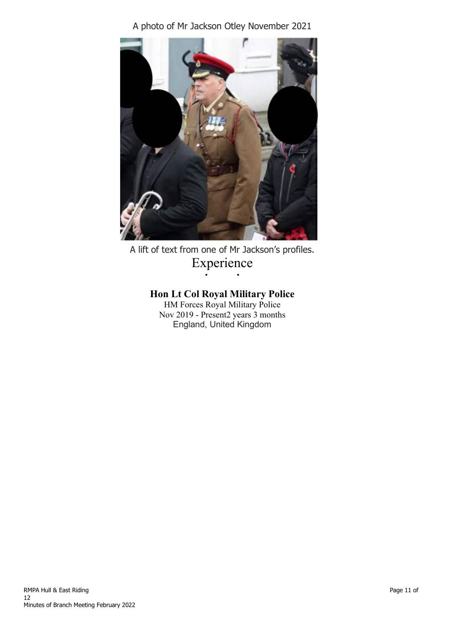A photo of Mr Jackson Otley November 2021



A lift of text from one of Mr Jackson's profiles. Experience • •

### **Hon Lt Col Royal Military Police**

HM Forces Royal Military Police Nov 2019 - Present2 years 3 months England, United Kingdom